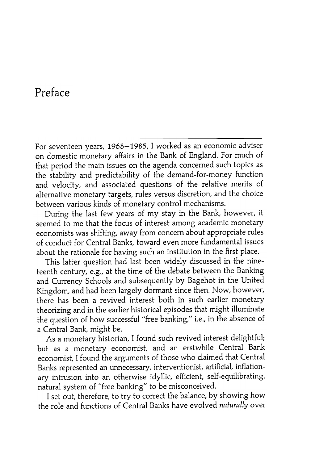## Preface

For seventeen years, 1968- 1985, I worked as an economic adviser on domestic monetary affairs in the Bank of England. For much of that period the main issues on the agenda concerned such topics as the stability and predictability of the demand-for -money function and velocity, and associated questions of the relative merits of alternative monetary targets, rules versus discretion, and the choice between various kinds of monetary control mechanisms.

During the last few years of my stay in the Bank, however, it seemed to me that the focus of interest among academic monetary economists was shifting, away from concern about appropriate rules of conduct for Central Banks, toward even more fundamental issues about the rationale for having such an institution in the first place.

This latter question had last been widely discussed in the nineteenth century, e.g., at the time of the debate between the Banking and Currency Schools and subsequently by Bagehot in the United Kingdom, and had been largely dormant since then. Now, however, there has been a revived interest both in such earlier monetary theorizing and in the earlier historical episodes that might illuminate the question of how successful "free banking," i.e., in the absence of a Central Bank, might be.

As a monetary historian, I found such revived interest delightful; but as a monetary economist, and an erstwhile Central Bank economist, I found the arguments of those who claimed that Central Banks represented an unnecessary, interventionist, artificial, inflationary intrusion into an otherwise idyllic, efficient, self-equilibrating, natural system of "free banking" to be misconceived.

I set out, therefore, to try to correct the balance, by showing how the role and functions of Central Banks have evolved naturally over